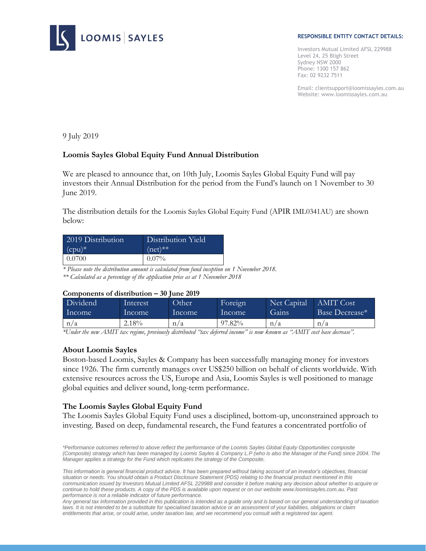

#### **RESPONSIBLE ENTITY CONTACT DETAILS:**

Investors Mutual Limited AFSL 229988 Level 24, 25 Bligh Street Sydney NSW 2000 Phone: 1300 157 862 Fax: 02 9232 7511

Email: clientsupport@loomissayles.com.au Website: www.loomissayles.com.au

9 July 2019

# **Loomis Sayles Global Equity Fund Annual Distribution**

We are pleased to announce that, on 10th July, Loomis Sayles Global Equity Fund will pay investors their Annual Distribution for the period from the Fund's launch on 1 November to 30 June 2019.

The distribution details for the Loomis Sayles Global Equity Fund (APIR IML0341AU) are shown below:

| 2019 Distribution | Distribution Yield |
|-------------------|--------------------|
| $(cpu)^*$         | $(net)**$          |
| 0.0700            | $0.07\%$           |

*\* Please note the distribution amount is calculated from fund inception on 1 November 2018. \*\* Calculated as a percentage of the application price as at 1 November 2018* 

### **Components of distribution – 30 June 2019**

| Dividend | Interest | Other  | Foreign | Net Capital | <b>AMIT</b> Cost           |
|----------|----------|--------|---------|-------------|----------------------------|
| Income   | Income   | Income | Income  | Gains       | Base Decrease <sup>*</sup> |
| n/a      | 2.18%    | n/a    | 97.82%  | n/a         | n/a                        |

*\*Under the new AMIT tax regime, previously distributed "tax deferred income" is now known as "AMIT cost base decrease".*

## **About Loomis Sayles**

Boston-based Loomis, Sayles & Company has been successfully managing money for investors since 1926. The firm currently manages over US\$250 billion on behalf of clients worldwide. With extensive resources across the US, Europe and Asia, Loomis Sayles is well positioned to manage global equities and deliver sound, long-term performance.

## **The Loomis Sayles Global Equity Fund**

The Loomis Sayles Global Equity Fund uses a disciplined, bottom-up, unconstrained approach to investing. Based on deep, fundamental research, the Fund features a concentrated portfolio of

*<sup>\*</sup>Performance outcomes referred to above reflect the performance of the Loomis Sayles Global Equity Opportunities composite (Composite) strategy which has been managed by Loomis Sayles & Company L.P (who is also the Manager of the Fund) since 2004. The Manager applies a strategy for the Fund which replicates the strategy of the Composite.*

*This information is general financial product advice. It has been prepared without taking account of an investor's objectives, financial situation or needs. You should obtain a Product Disclosure Statement (PDS) relating to the financial product mentioned in this communication issued by Investors Mutual Limited AFSL 229988 and consider it before making any decision about whether to acquire or continue to hold these products. A copy of the PDS is available upon request or on our website www.loomissayles.com.au. Past performance is not a reliable indicator of future performance.* 

*Any general tax information provided in this publication is intended as a guide only and is based on our general understanding of taxation*  laws. It is not intended to be a substitute for specialised taxation advice or an assessment of your liabilities, obligations or claim *entitlements that arise, or could arise, under taxation law, and we recommend you consult with a registered tax agent.*